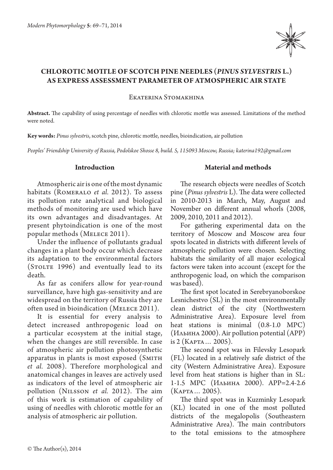

# **CHLOROTIC MOTTLE OF SCOTCH PINE NEEDLES (***PINUS SYLVESTRIS* **L.) AS EXPRESS ASSESSMENT PARAMETER OF ATMOSPHERIC AIR STATE**

Ekaterina Stomakhina

**Abstract.** The capability of using percentage of needles with chlorotic mottle was assessed. Limitations of the method were noted.

**Key words:** *Pinus sylvestris*, scotch pine, chlorotic mottle, needles, bioindication, air pollution

*Peoples' Friendship University of Russia, Podolskoe Shosse 8, build. 5, 115093 Moscow, Russia; katerina192@gmail.com*

#### **Introduction**

Atmospheric air is one of the most dynamic habitats (Romeralo *et al.* 2012). To assess its pollution rate analytical and biological methods of monitoring are used which have its own advantages and disadvantages. At present phytoindication is one of the most popular methods (Melece 2011).

Under the influence of pollutants gradual changes in a plant body occur which decrease its adaptation to the environmental factors (STOLTE 1996) and eventually lead to its death.

As far as conifers allow for year-round surveillance, have high gas-sensitivity and are widespread on the territory of Russia they are often used in bioindication (Melece 2011).

It is essential for every analysis to detect increased anthropogenic load on a particular ecosystem at the initial stage, when the changes are still reversible. In case of atmospheric air pollution photosynthetic apparatus in plants is most exposed (SMITH *et al.* 2008). Therefore morphological and anatomical changes in leaves are actively used as indicators of the level of atmospheric air pollution (Nilsson *et al.* 2012). The aim of this work is estimation of capability of using of needles with chlorotic mottle for an analysis of atmospheric air pollution.

### **Material and methods**

The research objects were needles of Scotch pine (*Pinus sylvestris* L). The data were collected in 2010-2013 in March, May, August and November on different annual whorls (2008, 2009, 2010, 2011 and 2012).

For gathering experimental data on the territory of Moscow and Moscow area four spots located in districts with different levels of atmospheric pollution were chosen. Selecting habitats the similarity of all major ecological factors were taken into account (except for the anthropogenic load, on which the comparison was based).

The first spot located in Serebryanoborskoe Lesnichestvo (SL) in the most environmentally clean district of the city (Northwestern Administrative Area). Exposure level from heat stations is minimal (0.8-1.0 MPC) (Ильина 2000). Air pollution potential (APP) is 2 (Карта… 2005).

The second spot was in Filevsky Lesopark (FL) located in a relatively safe district of the city (Western Administrative Area). Exposure level from heat stations is higher than in SL: 1-1.5 MPC (Ильина 2000). APP=2.4-2.6 (Карта… 2005).

The third spot was in Kuzminky Lesopark (KL) located in one of the most polluted districts of the megalopolis (Southeastern Administrative Area). The main contributors to the total emissions to the atmosphere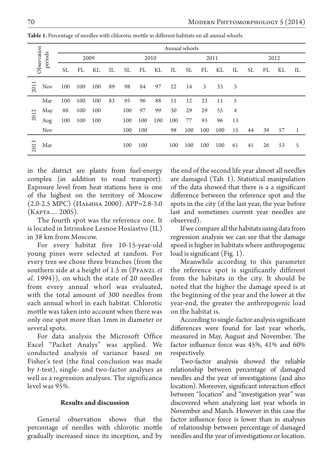| Observation<br>periods |     |           | Annual whorls |     |    |           |     |     |     |      |     |     |                |      |    |    |    |
|------------------------|-----|-----------|---------------|-----|----|-----------|-----|-----|-----|------|-----|-----|----------------|------|----|----|----|
|                        |     | 2009      |               |     |    | 2010      |     |     |     | 2011 |     |     |                | 2012 |    |    |    |
|                        |     | <b>SL</b> | FL            | KL  | IL | <b>SL</b> | FL  | KL  | IL  | SL   | FL  | KL  | IL             | SL   | FL | KL | П. |
| 2011                   | Nov | 100       | 100           | 100 | 89 | 98        | 84  | 97  | 22  | 14   | 3   | 33  | 3              |      |    |    |    |
| 2012                   | Mar | 100       | 100           | 100 | 83 | 95        | 96  | 88  | 51  | 12   | 23  | 11  | 5              |      |    |    |    |
|                        | May | 88        | 100           | 100 |    | 100       | 97  | 99  | 30  | 29   | 29  | 55  | $\overline{4}$ |      |    |    |    |
|                        | Aug | 100       | 100           | 100 |    | 100       | 100 | 100 | 100 | 77   | 93  | 96  | 13             |      |    |    |    |
|                        | Nov |           |               |     |    | 100       | 100 |     | 98  | 100  | 100 | 100 | 15             | 44   | 39 | 57 | 1  |
| $\epsilon$<br>201      | Mar |           |               |     |    | 100       | 100 |     | 100 | 100  | 100 | 100 | 61             | 41   | 26 | 53 | 5  |

**Table 1.** Percentage of needles with chlorotic mottle in different habitats on all annual whorls.

in the district are plants from fuel-energy complex (in addition to road transport). Exposure level from heat stations here is one of the highest on the territory of Moscow (2.0-2.5 MPC) (Ильина 2000). APP=2.8-3.0 (Карта… 2005).

The fourth spot was the reference one. It is located in Istrinskoe Lesnoe Hosiastvo (IL) in 38 km from Moscow.

For every habitat five 10-15-year-old young pines were selected at random. For every tree we chose three branches (from the southern side at a height of 1.5 m (PFANZL *et al.* 1994)), on which the state of 20 needles from every annual whorl was evaluated, with the total amount of 300 needles from each annual whorl in each habitat. Chlorotic mottle was taken into account when there was only one spot more than 1mm in diameter or several spots.

For data analysis the Microsoft Office Excel "Packet Analys" was applied. We conducted analysis of variance based on Fisher's test (the final conclusion was made by *t*-test), single- and two-factor analyses as well as a regression analyses. The significance level was 95%.

## **Results and discussion**

General observation shows that the percentage of needles with chlorotic mottle gradually increased since its inception, and by the end of the second life year almost all needles are damaged (Tab. 1). Statistical manipulation of the data showed that there is a a significant difference between the reference spot and the spots in the city (if the last year, the year before last and sometimes current year needles are observed).

If we compare all the habitats using data from regression analysis we can see that the damage speed is higher in habitats where anthropogenic load is significant (Fig. 1).

Meanwhile according to this parameter the reference spot is significantly different from the habitats in the city. It should be noted that the higher the damage speed is at the beginning of the year and the lower at the year-end, the greater the anthropogenic load on the habitat is.

According to single-factor analysis significant differences were found for last year whorls, measured in May, August and November. The factor influence force was 45%, 41% and 60% respectively.

Two-factor analysis showed the reliable relationship between percentage of damaged needles and the year of investigations (and also location). Moreover, significant interaction effect between "location" and "investigation year" was discovered when analyzing last year whorls in November and March. However in this case the factor influence force is lower than in analyses of relationship between percentage of damaged needles and the year of investigations or location.